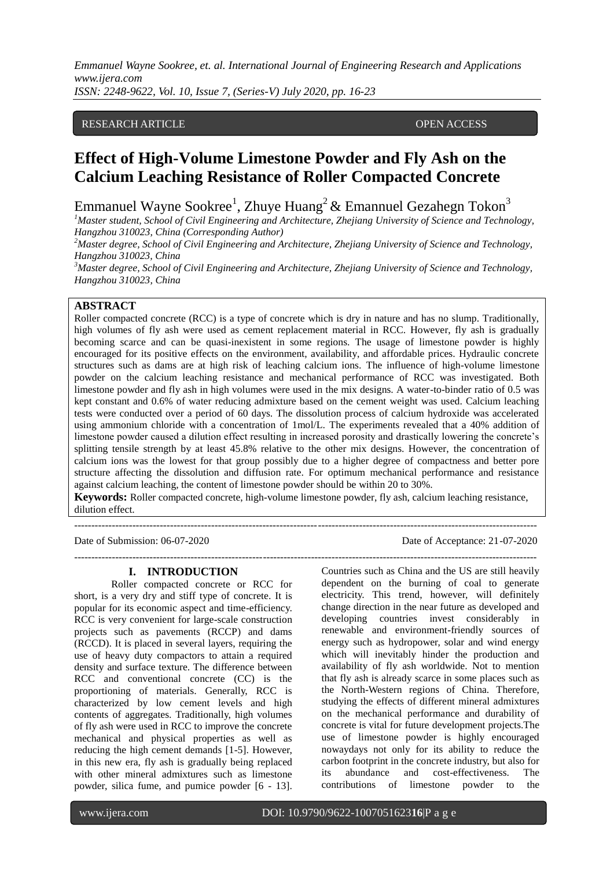*Emmanuel Wayne Sookree, et. al. International Journal of Engineering Research and Applications www.ijera.com ISSN: 2248-9622, Vol. 10, Issue 7, (Series-V) July 2020, pp. 16-23*

#### RESEARCH ARTICLE OPEN ACCESS

# **Effect of High-Volume Limestone Powder and Fly Ash on the Calcium Leaching Resistance of Roller Compacted Concrete**

Emmanuel Wayne Sookree<sup>1</sup>, Zhuye Huang<sup>2</sup> & Emannuel Gezahegn Tokon<sup>3</sup>

*<sup>1</sup>Master student, School of Civil Engineering and Architecture, Zhejiang University of Science and Technology, Hangzhou 310023, China (Corresponding Author)*

*<sup>2</sup>Master degree, School of Civil Engineering and Architecture, Zhejiang University of Science and Technology, Hangzhou 310023, China* 

*<sup>3</sup>Master degree, School of Civil Engineering and Architecture, Zhejiang University of Science and Technology, Hangzhou 310023, China* 

## **ABSTRACT**

Roller compacted concrete (RCC) is a type of concrete which is dry in nature and has no slump. Traditionally, high volumes of fly ash were used as cement replacement material in RCC. However, fly ash is gradually becoming scarce and can be quasi-inexistent in some regions. The usage of limestone powder is highly encouraged for its positive effects on the environment, availability, and affordable prices. Hydraulic concrete structures such as dams are at high risk of leaching calcium ions. The influence of high-volume limestone powder on the calcium leaching resistance and mechanical performance of RCC was investigated. Both limestone powder and fly ash in high volumes were used in the mix designs. A water-to-binder ratio of 0.5 was kept constant and 0.6% of water reducing admixture based on the cement weight was used. Calcium leaching tests were conducted over a period of 60 days. The dissolution process of calcium hydroxide was accelerated using ammonium chloride with a concentration of 1mol/L. The experiments revealed that a 40% addition of limestone powder caused a dilution effect resulting in increased porosity and drastically lowering the concrete's splitting tensile strength by at least 45.8% relative to the other mix designs. However, the concentration of calcium ions was the lowest for that group possibly due to a higher degree of compactness and better pore structure affecting the dissolution and diffusion rate. For optimum mechanical performance and resistance against calcium leaching, the content of limestone powder should be within 20 to 30%.

**Keywords:** Roller compacted concrete, high-volume limestone powder, fly ash, calcium leaching resistance, dilution effect.

---------------------------------------------------------------------------------------------------------------------------------------

## **I. INTRODUCTION**

Roller compacted concrete or RCC for short, is a very dry and stiff type of concrete. It is popular for its economic aspect and time-efficiency. RCC is very convenient for large-scale construction projects such as pavements (RCCP) and dams (RCCD). It is placed in several layers, requiring the use of heavy duty compactors to attain a required density and surface texture. The difference between RCC and conventional concrete (CC) is the proportioning of materials. Generally, RCC is characterized by low cement levels and high contents of aggregates. Traditionally, high volumes of fly ash were used in RCC to improve the concrete mechanical and physical properties as well as reducing the high cement demands [1-5]. However, in this new era, fly ash is gradually being replaced with other mineral admixtures such as limestone powder, silica fume, and pumice powder [6 - 13].

Date of Submission: 06-07-2020 Date of Acceptance: 21-07-2020

--------------------------------------------------------------------------------------------------------------------------------------- Countries such as China and the US are still heavily dependent on the burning of coal to generate electricity. This trend, however, will definitely change direction in the near future as developed and developing countries invest considerably in renewable and environment-friendly sources of energy such as hydropower, solar and wind energy which will inevitably hinder the production and availability of fly ash worldwide. Not to mention that fly ash is already scarce in some places such as the North-Western regions of China. Therefore, studying the effects of different mineral admixtures on the mechanical performance and durability of concrete is vital for future development projects.The use of limestone powder is highly encouraged nowaydays not only for its ability to reduce the carbon footprint in the concrete industry, but also for its abundance and cost-effectiveness. The contributions of limestone powder to the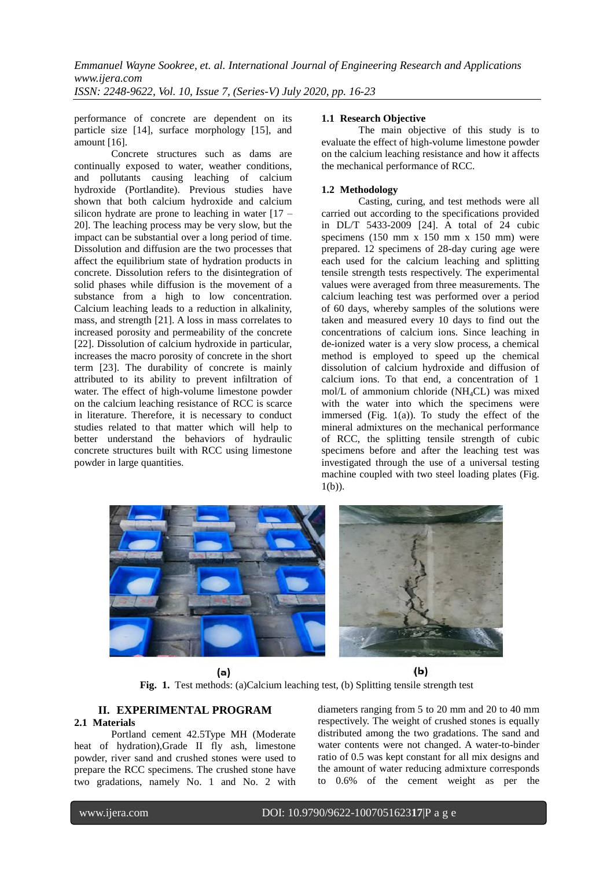performance of concrete are dependent on its particle size [14], surface morphology [15], and amount [16].

Concrete structures such as dams are continually exposed to water, weather conditions, and pollutants causing leaching of calcium hydroxide (Portlandite). Previous studies have shown that both calcium hydroxide and calcium silicon hydrate are prone to leaching in water  $[17 -$ 20]. The leaching process may be very slow, but the impact can be substantial over a long period of time. Dissolution and diffusion are the two processes that affect the equilibrium state of hydration products in concrete. Dissolution refers to the disintegration of solid phases while diffusion is the movement of a substance from a high to low concentration. Calcium leaching leads to a reduction in alkalinity, mass, and strength [21]. A loss in mass correlates to increased porosity and permeability of the concrete [22]. Dissolution of calcium hydroxide in particular, increases the macro porosity of concrete in the short term [23]. The durability of concrete is mainly attributed to its ability to prevent infiltration of water. The effect of high-volume limestone powder on the calcium leaching resistance of RCC is scarce in literature. Therefore, it is necessary to conduct studies related to that matter which will help to better understand the behaviors of hydraulic concrete structures built with RCC using limestone powder in large quantities.

## **1.1 Research Objective**

The main objective of this study is to evaluate the effect of high-volume limestone powder on the calcium leaching resistance and how it affects the mechanical performance of RCC.

## **1.2 Methodology**

Casting, curing, and test methods were all carried out according to the specifications provided in DL/T 5433-2009 [24]. A total of 24 cubic specimens (150 mm x 150 mm x 150 mm) were prepared. 12 specimens of 28-day curing age were each used for the calcium leaching and splitting tensile strength tests respectively. The experimental values were averaged from three measurements. The calcium leaching test was performed over a period of 60 days, whereby samples of the solutions were taken and measured every 10 days to find out the concentrations of calcium ions. Since leaching in de-ionized water is a very slow process, a chemical method is employed to speed up the chemical dissolution of calcium hydroxide and diffusion of calcium ions. To that end, a concentration of 1 mol/L of ammonium chloride (NH4CL) was mixed with the water into which the specimens were immersed (Fig. 1(a)). To study the effect of the mineral admixtures on the mechanical performance of RCC, the splitting tensile strength of cubic specimens before and after the leaching test was investigated through the use of a universal testing machine coupled with two steel loading plates (Fig.  $1(b)$ ).



 $(b)$ (a) **Fig. 1.** Test methods: (a)Calcium leaching test, (b) Splitting tensile strength test

#### **II. EXPERIMENTAL PROGRAM 2.1 Materials**

Portland cement 42.5Type MH (Moderate heat of hydration),Grade II fly ash, limestone powder, river sand and crushed stones were used to prepare the RCC specimens. The crushed stone have two gradations, namely No. 1 and No. 2 with

diameters ranging from 5 to 20 mm and 20 to 40 mm respectively. The weight of crushed stones is equally distributed among the two gradations. The sand and water contents were not changed. A water-to-binder ratio of 0.5 was kept constant for all mix designs and the amount of water reducing admixture corresponds to 0.6% of the cement weight as per the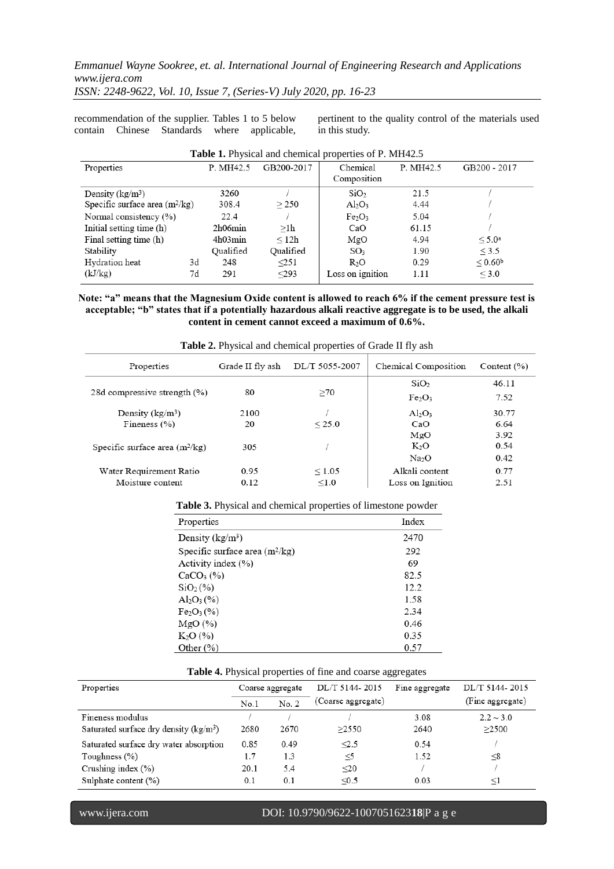*Emmanuel Wayne Sookree, et. al. International Journal of Engineering Research and Applications www.ijera.com*

*ISSN: 2248-9622, Vol. 10, Issue 7, (Series-V) July 2020, pp. 16-23*

recommendation of the supplier. Tables 1 to 5 below contain Chinese Standards where applicable,

pertinent to the quality control of the materials used in this study.

| <b>Table 1.</b> Physical and chemical properties of P. MH42.5 |           |            |                                |           |                    |  |  |  |
|---------------------------------------------------------------|-----------|------------|--------------------------------|-----------|--------------------|--|--|--|
| Properties                                                    | P. MH42.5 | GB200-2017 | Chemical                       | P. MH42.5 | GB200 - 2017       |  |  |  |
|                                                               |           |            | Composition                    |           |                    |  |  |  |
| Density ( $kg/m^3$ )                                          | 3260      |            | SiO <sub>2</sub>               | 21.5      |                    |  |  |  |
| Specific surface area $(m^2/kg)$                              | 308.4     | > 250      | $Al_2O_3$                      | 4.44      |                    |  |  |  |
| Normal consistency (%)                                        | 22.4      |            | Fe <sub>2</sub> O <sub>3</sub> | 5.04      |                    |  |  |  |
| Initial setting time (h)                                      | 2h06min   | >1h        | CaO                            | 61.15     |                    |  |  |  |
| Final setting time (h)                                        | 4h03min   | $\leq 12h$ | MgO                            | 4.94      | < 5.0 <sup>a</sup> |  |  |  |
| Stability                                                     | Oualified | Qualified  | SO <sub>3</sub>                | 1.90      | < 3.5              |  |  |  |
| Hydration heat                                                | 3d<br>248 | <251       | $R_2O$                         | 0.29      | $< 0.60^{\circ}$   |  |  |  |
| (kJ/kg)                                                       | 7d<br>291 | < 293      | Loss on ignition               | 1.11      | $\leq 3.0$         |  |  |  |

#### **Note: "a" means that the Magnesium Oxide content is allowed to reach 6% if the cement pressure test is acceptable; "b" states that if a potentially hazardous alkali reactive aggregate is to be used, the alkali content in cement cannot exceed a maximum of 0.6%.**

| Properties                       | Grade II fly ash | DL/T 5055-2007   | Chemical Composition           | Content $(\% )$ |
|----------------------------------|------------------|------------------|--------------------------------|-----------------|
|                                  |                  |                  | SiO <sub>2</sub>               | 46.11           |
| 28d compressive strength (%)     | 80               | >70              | Fe <sub>2</sub> O <sub>3</sub> | 7.52            |
| Density $(kg/m^3)$               | 2100             |                  | $Al_2O_3$                      | 30.77           |
| Fineness $(\% )$                 | 20               | < 25.0           | CaO                            | 6.64            |
|                                  |                  |                  | MgO                            | 3.92            |
| Specific surface area $(m^2/kg)$ | 305              |                  | $K_2O$                         | 0.54            |
|                                  |                  |                  | Na <sub>2</sub> O              | 0.42            |
| Water Requirement Ratio          | 0.95             | ${}_{\leq 1.05}$ | Alkali content                 | 0.77            |
| Moisture content                 | 0.12             | < 1.0            | Loss on Ignition               | 2.51            |

**Table 2.** Physical and chemical properties of Grade II fly ash

## **Table 3.** Physical and chemical properties of limestone powder

| Properties                         | Index |
|------------------------------------|-------|
| Density $(kg/m3)$                  | 2470  |
| Specific surface area $(m^2/kg)$   | 292   |
| Activity index (%)                 | 69    |
| CaCO <sub>3</sub> (%)              | 82.5  |
| SiO <sub>2</sub> (%                | 12.2  |
| $\mathrm{Al}_2\mathrm{O}_3$ (%)    | 1.58  |
| Fe <sub>2</sub> O <sub>3</sub> (%) | 2.34  |
| MgO(%)                             | 0.46  |
| $K_2O(%)$                          | 0.35  |
| Other $(\% )$                      | 0.57  |

#### **Table 4.** Physical properties of fine and coarse aggregates

| Properties                              | Coarse aggregate |       | DL/T 5144-2015     | Fine aggregate | DL/T 5144-2015   |
|-----------------------------------------|------------------|-------|--------------------|----------------|------------------|
|                                         | No.1             | No. 2 | (Coarse aggregate) |                | (Fine aggregate) |
| Fineness modulus                        |                  |       |                    | 3.08           | $2.2 \sim 3.0$   |
| Saturated surface dry density $(kg/m3)$ | 2680             | 2670  | >2550              | 2640           | >2500            |
| Saturated surface dry water absorption  | 0.85             | 0.49  | < 2.5              | 0.54           |                  |
| Toughness $(\%)$                        | 1.7              | 1.3   | $\leq$ 5           | 1.52           | $\leq$ 8         |
| Crushing index $(\%)$                   | 20.1             | 5.4   | $20$               |                |                  |
| Sulphate content (%)                    | 0.1              | 0.1   | < 0.5              | 0.03           | $<$ 1            |

#### www.ijera.com DOI: 10.9790/9622-1007051623**18**|P a g e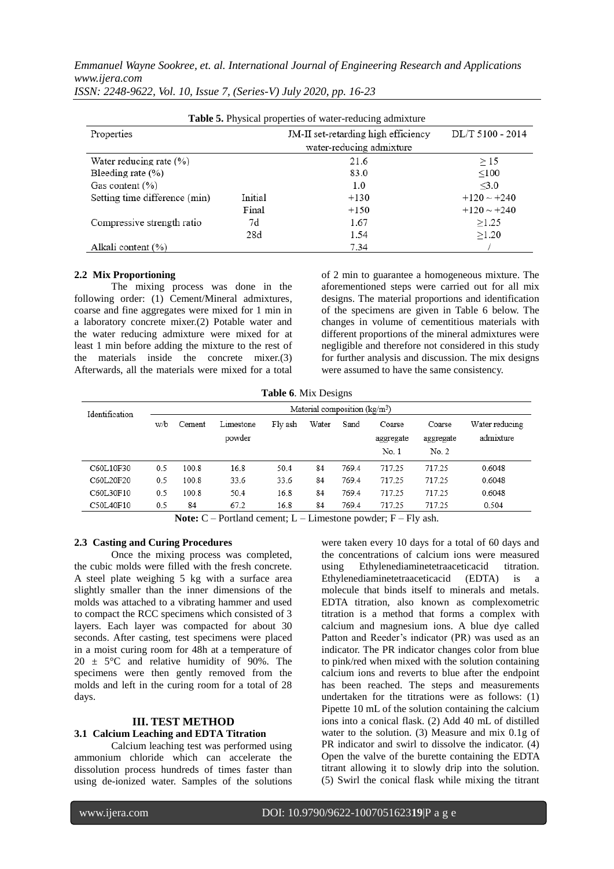*Emmanuel Wayne Sookree, et. al. International Journal of Engineering Research and Applications www.ijera.com*

| ISSN: 2248-9622, Vol. 10, Issue 7, (Series-V) July 2020, pp. 16-23 |  |  |  |  |  |
|--------------------------------------------------------------------|--|--|--|--|--|
|--------------------------------------------------------------------|--|--|--|--|--|

| <b>Table 5.</b> Physical properties of water-reducing admixture |         |                                     |                  |  |  |  |  |
|-----------------------------------------------------------------|---------|-------------------------------------|------------------|--|--|--|--|
| Properties                                                      |         | JM-II set-retarding high efficiency | DL/T 5100 - 2014 |  |  |  |  |
|                                                                 |         | water-reducing admixture            |                  |  |  |  |  |
| Water reducing rate $(\% )$                                     |         | 21.6                                | >15              |  |  |  |  |
| Bleeding rate $(\% )$                                           |         | 83.0                                | < 100            |  |  |  |  |
| Gas content $(\% )$                                             |         | 1.0                                 | <3.0             |  |  |  |  |
| Setting time difference (min)                                   | Initial | $+130$                              | $+120 \sim +240$ |  |  |  |  |
|                                                                 | Final   | $+150$                              | $+120 \sim +240$ |  |  |  |  |
| Compressive strength ratio                                      | 7d      | 1.67                                | >1.25            |  |  |  |  |
|                                                                 | 28d     | 1.54                                | >1.20            |  |  |  |  |
| Alkali content (%)                                              |         | 7.34                                |                  |  |  |  |  |

#### **2.2 Mix Proportioning**

The mixing process was done in the following order: (1) Cement/Mineral admixtures, coarse and fine aggregates were mixed for 1 min in a laboratory concrete mixer.(2) Potable water and the water reducing admixture were mixed for at least 1 min before adding the mixture to the rest of the materials inside the concrete mixer.(3) Afterwards, all the materials were mixed for a total of 2 min to guarantee a homogeneous mixture. The aforementioned steps were carried out for all mix designs. The material proportions and identification of the specimens are given in Table 6 below. The changes in volume of cementitious materials with different proportions of the mineral admixtures were negligible and therefore not considered in this study for further analysis and discussion. The mix designs were assumed to have the same consistency.

**Table 6**. Mix Designs

| Identification | ັ<br>Material composition $(kg/m3)$ |        |                     |         |       |       |                              |                              |                             |
|----------------|-------------------------------------|--------|---------------------|---------|-------|-------|------------------------------|------------------------------|-----------------------------|
|                | w/b                                 | Cement | Limestone<br>powder | Fly ash | Water | Sand  | Coarse<br>aggregate<br>No. 1 | Coarse<br>aggregate<br>No. 2 | Water reducing<br>admixture |
| C60L10F30      | 0.5                                 | 100.8  | 16.8                | 50.4    | 84    | 769.4 | 717.25                       | 717.25                       | 0.6048                      |
| C60L20F20      | 0.5                                 | 100.8  | 33.6                | 33.6    | 84    | 769.4 | 717.25                       | 717.25                       | 0.6048                      |
| C60L30F10      | 0.5                                 | 100.8  | 50.4                | 16.8    | 84    | 769.4 | 717.25                       | 717.25                       | 0.6048                      |
| C50L40F10      | 0.5                                 | 84     | 67.2                | 16.8    | 84    | 769.4 | 717.25                       | 717.25                       | 0.504                       |

**Note:** C – Portland cement; L – Limestone powder; F – Fly ash.

### **2.3 Casting and Curing Procedures**

Once the mixing process was completed, the cubic molds were filled with the fresh concrete. A steel plate weighing 5 kg with a surface area slightly smaller than the inner dimensions of the molds was attached to a vibrating hammer and used to compact the RCC specimens which consisted of 3 layers. Each layer was compacted for about 30 seconds. After casting, test specimens were placed in a moist curing room for 48h at a temperature of  $20 \pm 5^{\circ}$ C and relative humidity of 90%. The specimens were then gently removed from the molds and left in the curing room for a total of 28 days.

## **III. TEST METHOD**

## **3.1 Calcium Leaching and EDTA Titration**

Calcium leaching test was performed using ammonium chloride which can accelerate the dissolution process hundreds of times faster than using de-ionized water. Samples of the solutions were taken every 10 days for a total of 60 days and the concentrations of calcium ions were measured using Ethylenediaminetetraaceticacid titration. Ethylenediaminetetraaceticacid (EDTA) is a molecule that binds itself to minerals and metals. EDTA titration, also known as complexometric titration is a method that forms a complex with calcium and magnesium ions. A blue dye called Patton and Reeder's indicator (PR) was used as an indicator. The PR indicator changes color from blue to pink/red when mixed with the solution containing calcium ions and reverts to blue after the endpoint has been reached. The steps and measurements undertaken for the titrations were as follows: (1) Pipette 10 mL of the solution containing the calcium ions into a conical flask. (2) Add 40 mL of distilled water to the solution. (3) Measure and mix 0.1g of PR indicator and swirl to dissolve the indicator. (4) Open the valve of the burette containing the EDTA titrant allowing it to slowly drip into the solution. (5) Swirl the conical flask while mixing the titrant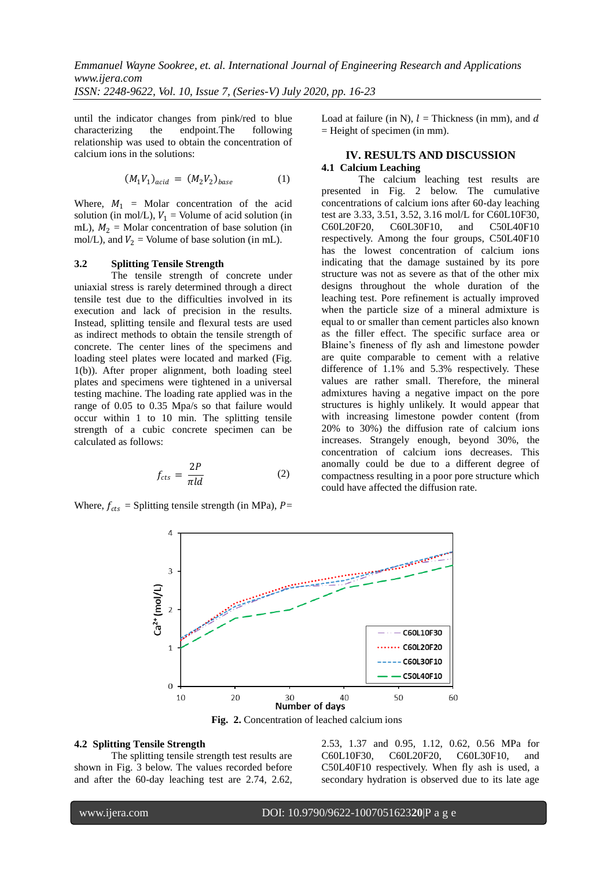until the indicator changes from pink/red to blue characterizing the endpoint.The following relationship was used to obtain the concentration of calcium ions in the solutions:

$$
(M_1 V_1)_{acid} = (M_2 V_2)_{base} \tag{1}
$$

Where,  $M_1$  = Molar concentration of the acid solution (in mol/L),  $V_1$  = Volume of acid solution (in mL),  $M_2$  = Molar concentration of base solution (in mol/L), and  $V_2$  = Volume of base solution (in mL).

#### **3.2 Splitting Tensile Strength**

The tensile strength of concrete under uniaxial stress is rarely determined through a direct tensile test due to the difficulties involved in its execution and lack of precision in the results. Instead, splitting tensile and flexural tests are used as indirect methods to obtain the tensile strength of concrete. The center lines of the specimens and loading steel plates were located and marked (Fig. 1(b)). After proper alignment, both loading steel plates and specimens were tightened in a universal testing machine. The loading rate applied was in the range of 0.05 to 0.35 Mpa/s so that failure would occur within 1 to 10 min. The splitting tensile strength of a cubic concrete specimen can be calculated as follows:

$$
f_{cts} = \frac{2P}{\pi ld} \tag{2}
$$

Where,  $f_{cts}$  = Splitting tensile strength (in MPa), P=

Load at failure (in N),  $l =$  Thickness (in mm), and d = Height of specimen (in mm).

## **IV. RESULTS AND DISCUSSION 4.1 Calcium Leaching**

The calcium leaching test results are presented in Fig. 2 below. The cumulative concentrations of calcium ions after 60-day leaching test are 3.33, 3.51, 3.52, 3.16 mol/L for C60L10F30, C60L20F20, C60L30F10, and C50L40F10 respectively. Among the four groups, C50L40F10 has the lowest concentration of calcium ions indicating that the damage sustained by its pore structure was not as severe as that of the other mix designs throughout the whole duration of the leaching test. Pore refinement is actually improved when the particle size of a mineral admixture is equal to or smaller than cement particles also known as the filler effect. The specific surface area or Blaine's fineness of fly ash and limestone powder are quite comparable to cement with a relative difference of 1.1% and 5.3% respectively. These values are rather small. Therefore, the mineral admixtures having a negative impact on the pore structures is highly unlikely. It would appear that with increasing limestone powder content (from 20% to 30%) the diffusion rate of calcium ions increases. Strangely enough, beyond 30%, the concentration of calcium ions decreases. This anomally could be due to a different degree of compactness resulting in a poor pore structure which could have affected the diffusion rate.



**Fig. 2.** Concentration of leached calcium ions

#### **4.2 Splitting Tensile Strength**

The splitting tensile strength test results are shown in Fig. 3 below. The values recorded before and after the 60-day leaching test are 2.74, 2.62, 2.53, 1.37 and 0.95, 1.12, 0.62, 0.56 MPa for C60L10F30, C60L20F20, C60L30F10, and C50L40F10 respectively. When fly ash is used, a secondary hydration is observed due to its late age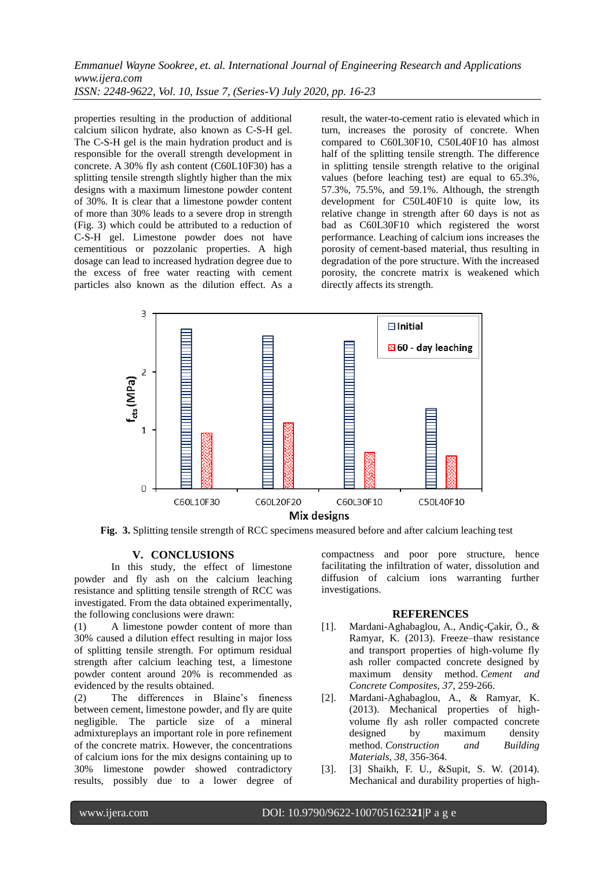*Emmanuel Wayne Sookree, et. al. International Journal of Engineering Research and Applications www.ijera.com ISSN: 2248-9622, Vol. 10, Issue 7, (Series-V) July 2020, pp. 16-23*

properties resulting in the production of additional calcium silicon hydrate, also known as C-S-H gel. The C-S-H gel is the main hydration product and is responsible for the overall strength development in concrete. A 30% fly ash content (C60L10F30) has a splitting tensile strength slightly higher than the mix designs with a maximum limestone powder content of 30%. It is clear that a limestone powder content of more than 30% leads to a severe drop in strength (Fig. 3) which could be attributed to a reduction of C-S-H gel. Limestone powder does not have cementitious or pozzolanic properties. A high dosage can lead to increased hydration degree due to the excess of free water reacting with cement particles also known as the dilution effect. As a result, the water-to-cement ratio is elevated which in turn, increases the porosity of concrete. When compared to C60L30F10, C50L40F10 has almost half of the splitting tensile strength. The difference in splitting tensile strength relative to the original values (before leaching test) are equal to 65.3%, 57.3%, 75.5%, and 59.1%. Although, the strength development for C50L40F10 is quite low, its relative change in strength after 60 days is not as bad as C60L30F10 which registered the worst performance. Leaching of calcium ions increases the porosity of cement-based material, thus resulting in degradation of the pore structure. With the increased porosity, the concrete matrix is weakened which directly affects its strength.



**Fig. 3.** Splitting tensile strength of RCC specimens measured before and after calcium leaching test

### **V. CONCLUSIONS**

In this study, the effect of limestone powder and fly ash on the calcium leaching resistance and splitting tensile strength of RCC was investigated. From the data obtained experimentally, the following conclusions were drawn:

(1) A limestone powder content of more than 30% caused a dilution effect resulting in major loss of splitting tensile strength. For optimum residual strength after calcium leaching test, a limestone powder content around 20% is recommended as evidenced by the results obtained.

(2) The differences in Blaine's fineness between cement, limestone powder, and fly are quite negligible. The particle size of a mineral admixtureplays an important role in pore refinement of the concrete matrix. However, the concentrations of calcium ions for the mix designs containing up to 30% limestone powder showed contradictory results, possibly due to a lower degree of compactness and poor pore structure, hence facilitating the infiltration of water, dissolution and diffusion of calcium ions warranting further investigations.

#### **REFERENCES**

- [1]. Mardani-Aghabaglou, A., Andiç-Çakir, Ö., & Ramyar, K. (2013). Freeze–thaw resistance and transport properties of high-volume fly ash roller compacted concrete designed by maximum density method. *Cement and Concrete Composites*, *37*, 259-266.
- [2]. Mardani-Aghabaglou, A., & Ramyar, K. (2013). Mechanical properties of highvolume fly ash roller compacted concrete designed by maximum density method. *Construction and Building Materials*, *38*, 356-364.
- [3]. [3] Shaikh, F. U., &Supit, S. W. (2014). Mechanical and durability properties of high-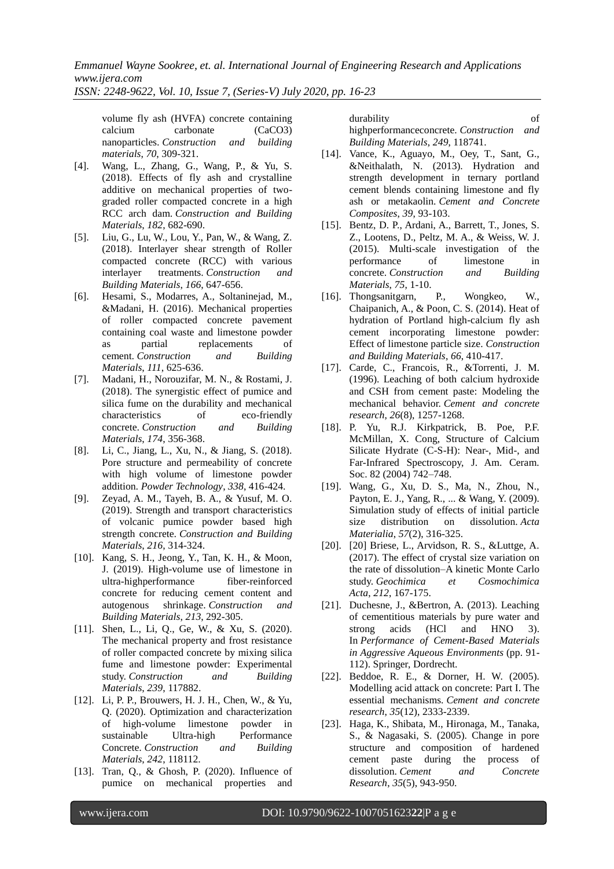*Emmanuel Wayne Sookree, et. al. International Journal of Engineering Research and Applications www.ijera.com*

*ISSN: 2248-9622, Vol. 10, Issue 7, (Series-V) July 2020, pp. 16-23*

volume fly ash (HVFA) concrete containing calcium carbonate (CaCO3) nanoparticles. *Construction and building materials*, *70*, 309-321.

- [4]. Wang, L., Zhang, G., Wang, P., & Yu, S. (2018). Effects of fly ash and crystalline additive on mechanical properties of twograded roller compacted concrete in a high RCC arch dam. *Construction and Building Materials*, *182*, 682-690.
- [5]. Liu, G., Lu, W., Lou, Y., Pan, W., & Wang, Z. (2018). Interlayer shear strength of Roller compacted concrete (RCC) with various interlayer treatments. *Construction and Building Materials*, *166*, 647-656.
- [6]. Hesami, S., Modarres, A., Soltaninejad, M., &Madani, H. (2016). Mechanical properties of roller compacted concrete pavement containing coal waste and limestone powder as partial replacements of cement. *Construction and Building Materials*, *111*, 625-636.
- [7]. Madani, H., Norouzifar, M. N., & Rostami, J. (2018). The synergistic effect of pumice and silica fume on the durability and mechanical characteristics of eco-friendly concrete. *Construction and Building Materials*, *174*, 356-368.
- [8]. Li, C., Jiang, L., Xu, N., & Jiang, S. (2018). Pore structure and permeability of concrete with high volume of limestone powder addition. *Powder Technology*, *338*, 416-424.
- [9]. Zeyad, A. M., Tayeh, B. A., & Yusuf, M. O. (2019). Strength and transport characteristics of volcanic pumice powder based high strength concrete. *Construction and Building Materials*, *216*, 314-324.
- [10]. Kang, S. H., Jeong, Y., Tan, K. H., & Moon, J. (2019). High-volume use of limestone in ultra-highperformance fiber-reinforced concrete for reducing cement content and autogenous shrinkage. *Construction and Building Materials*, *213*, 292-305.
- [11]. Shen, L., Li, Q., Ge, W., & Xu, S. (2020). The mechanical property and frost resistance of roller compacted concrete by mixing silica fume and limestone powder: Experimental study. *Construction and Building Materials*, *239*, 117882.
- [12]. Li, P. P., Brouwers, H. J. H., Chen, W., & Yu, Q. (2020). Optimization and characterization of high-volume limestone powder in sustainable Ultra-high Performance Concrete. *Construction and Building Materials*, *242*, 118112.
- [13]. Tran, Q., & Ghosh, P. (2020). Influence of pumice on mechanical properties and

durability of highperformanceconcrete. *Construction and Building Materials*, *249*, 118741.

- [14]. Vance, K., Aguayo, M., Oey, T., Sant, G., &Neithalath, N. (2013). Hydration and strength development in ternary portland cement blends containing limestone and fly ash or metakaolin. *Cement and Concrete Composites*, *39*, 93-103.
- [15]. Bentz, D. P., Ardani, A., Barrett, T., Jones, S. Z., Lootens, D., Peltz, M. A., & Weiss, W. J. (2015). Multi-scale investigation of the performance of limestone in concrete. *Construction and Building Materials*, *75*, 1-10.
- [16]. Thongsanitgarn, P., Wongkeo, W., Chaipanich, A., & Poon, C. S. (2014). Heat of hydration of Portland high-calcium fly ash cement incorporating limestone powder: Effect of limestone particle size. *Construction and Building Materials*, *66*, 410-417.
- [17]. Carde, C., Francois, R., &Torrenti, J. M. (1996). Leaching of both calcium hydroxide and CSH from cement paste: Modeling the mechanical behavior. *Cement and concrete research*, *26*(8), 1257-1268.
- [18]. P. Yu, R.J. Kirkpatrick, B. Poe, P.F. McMillan, X. Cong, Structure of Calcium Silicate Hydrate (C-S-H): Near-, Mid-, and Far-Infrared Spectroscopy, J. Am. Ceram. Soc. 82 (2004) 742–748.
- [19]. Wang, G., Xu, D. S., Ma, N., Zhou, N., Payton, E. J., Yang, R., ... & Wang, Y. (2009). Simulation study of effects of initial particle size distribution on dissolution. *Acta Materialia*, *57*(2), 316-325.
- [20]. [20] Briese, L., Arvidson, R. S., &Luttge, A. (2017). The effect of crystal size variation on the rate of dissolution–A kinetic Monte Carlo study. *Geochimica et Cosmochimica Acta*, *212*, 167-175.
- [21]. Duchesne, J., &Bertron, A. (2013). Leaching of cementitious materials by pure water and strong acids (HCl and HNO 3). In *Performance of Cement-Based Materials in Aggressive Aqueous Environments* (pp. 91- 112). Springer, Dordrecht.
- [22]. Beddoe, R. E., & Dorner, H. W. (2005). Modelling acid attack on concrete: Part I. The essential mechanisms. *Cement and concrete research*, *35*(12), 2333-2339.
- [23]. Haga, K., Shibata, M., Hironaga, M., Tanaka, S., & Nagasaki, S. (2005). Change in pore structure and composition of hardened cement paste during the process of dissolution. *Cement and Concrete Research*, *35*(5), 943-950.